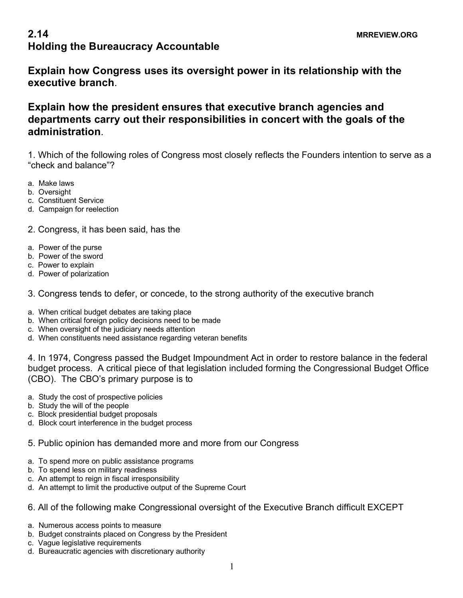## **2.14** MRREVIEW.ORG **Holding the Bureaucracy Accountable**

**Explain how Congress uses its oversight power in its relationship with the executive branch**.

## **Explain how the president ensures that executive branch agencies and departments carry out their responsibilities in concert with the goals of the administration**.

1. Which of the following roles of Congress most closely reflects the Founders intention to serve as a "check and balance"?

- a. Make laws
- b. Oversight
- c. Constituent Service
- d. Campaign for reelection

2. Congress, it has been said, has the

- a. Power of the purse
- b. Power of the sword
- c. Power to explain
- d. Power of polarization
- 3. Congress tends to defer, or concede, to the strong authority of the executive branch
- a. When critical budget debates are taking place
- b. When critical foreign policy decisions need to be made
- c. When oversight of the judiciary needs attention
- d. When constituents need assistance regarding veteran benefits

4. In 1974, Congress passed the Budget Impoundment Act in order to restore balance in the federal budget process. A critical piece of that legislation included forming the Congressional Budget Office (CBO). The CBO's primary purpose is to

- a. Study the cost of prospective policies
- b. Study the will of the people
- c. Block presidential budget proposals
- d. Block court interference in the budget process
- 5. Public opinion has demanded more and more from our Congress
- a. To spend more on public assistance programs
- b. To spend less on military readiness
- c. An attempt to reign in fiscal irresponsibility
- d. An attempt to limit the productive output of the Supreme Court
- 6. All of the following make Congressional oversight of the Executive Branch difficult EXCEPT
- a. Numerous access points to measure
- b. Budget constraints placed on Congress by the President
- c. Vague legislative requirements
- d. Bureaucratic agencies with discretionary authority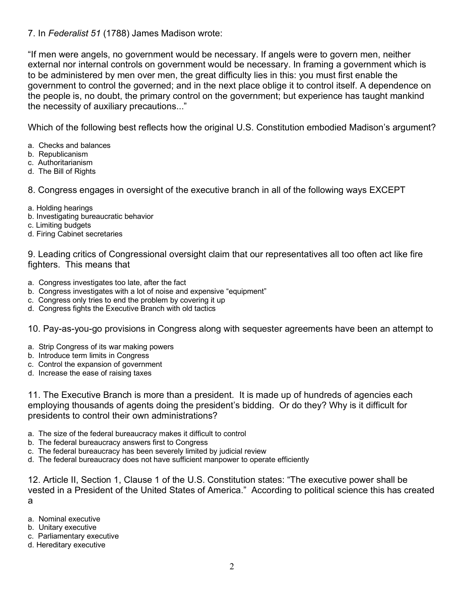## 7. In *Federalist 51* (1788) James Madison wrote:

"If men were angels, no government would be necessary. If angels were to govern men, neither external nor internal controls on government would be necessary. In framing a government which is to be administered by men over men, the great difficulty lies in this: you must first enable the government to control the governed; and in the next place oblige it to control itself. A dependence on the people is, no doubt, the primary control on the government; but experience has taught mankind the necessity of auxiliary precautions..."

Which of the following best reflects how the original U.S. Constitution embodied Madison's argument?

- a. Checks and balances
- b. Republicanism
- c. Authoritarianism
- d. The Bill of Rights

8. Congress engages in oversight of the executive branch in all of the following ways EXCEPT

- a. Holding hearings
- b. Investigating bureaucratic behavior
- c. Limiting budgets
- d. Firing Cabinet secretaries

9. Leading critics of Congressional oversight claim that our representatives all too often act like fire fighters. This means that

- a. Congress investigates too late, after the fact
- b. Congress investigates with a lot of noise and expensive "equipment"
- c. Congress only tries to end the problem by covering it up
- d. Congress fights the Executive Branch with old tactics

10. Pay-as-you-go provisions in Congress along with sequester agreements have been an attempt to

- a. Strip Congress of its war making powers
- b. Introduce term limits in Congress
- c. Control the expansion of government
- d. Increase the ease of raising taxes

11. The Executive Branch is more than a president. It is made up of hundreds of agencies each employing thousands of agents doing the president's bidding. Or do they? Why is it difficult for presidents to control their own administrations?

- a. The size of the federal bureaucracy makes it difficult to control
- b. The federal bureaucracy answers first to Congress
- c. The federal bureaucracy has been severely limited by judicial review
- d. The federal bureaucracy does not have sufficient manpower to operate efficiently

12. Article II, Section 1, Clause 1 of the U.S. Constitution states: "The executive power shall be vested in a President of the United States of America." According to political science this has created a

- a. Nominal executive
- b. Unitary executive
- c. Parliamentary executive
- d. Hereditary executive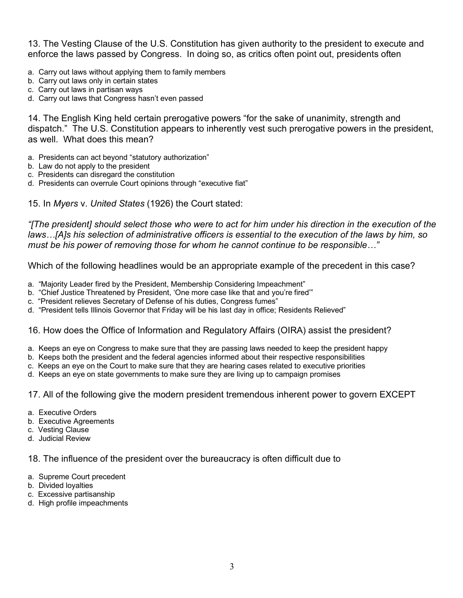13. The Vesting Clause of the U.S. Constitution has given authority to the president to execute and enforce the laws passed by Congress. In doing so, as critics often point out, presidents often

- a. Carry out laws without applying them to family members
- b. Carry out laws only in certain states
- c. Carry out laws in partisan ways
- d. Carry out laws that Congress hasn't even passed

14. The English King held certain prerogative powers "for the sake of unanimity, strength and dispatch." The U.S. Constitution appears to inherently vest such prerogative powers in the president, as well. What does this mean?

- a. Presidents can act beyond "statutory authorization"
- b. Law do not apply to the president
- c. Presidents can disregard the constitution
- d. Presidents can overrule Court opinions through "executive fiat"

15. In *Myers* v. *United States* (1926) the Court stated:

*"[The president] should select those who were to act for him under his direction in the execution of the laws…[A]s his selection of administrative officers is essential to the execution of the laws by him, so must be his power of removing those for whom he cannot continue to be responsible…"*

Which of the following headlines would be an appropriate example of the precedent in this case?

- a. "Majority Leader fired by the President, Membership Considering Impeachment"
- b. "Chief Justice Threatened by President, 'One more case like that and you're fired'"
- c. "President relieves Secretary of Defense of his duties, Congress fumes"
- d. "President tells Illinois Governor that Friday will be his last day in office; Residents Relieved"

## 16. How does the Office of Information and Regulatory Affairs (OIRA) assist the president?

- a. Keeps an eye on Congress to make sure that they are passing laws needed to keep the president happy
- b. Keeps both the president and the federal agencies informed about their respective responsibilities
- c. Keeps an eye on the Court to make sure that they are hearing cases related to executive priorities
- d. Keeps an eye on state governments to make sure they are living up to campaign promises
- 17. All of the following give the modern president tremendous inherent power to govern EXCEPT
- a. Executive Orders
- b. Executive Agreements
- c. Vesting Clause
- d. Judicial Review

18. The influence of the president over the bureaucracy is often difficult due to

- a. Supreme Court precedent
- b. Divided loyalties
- c. Excessive partisanship
- d. High profile impeachments